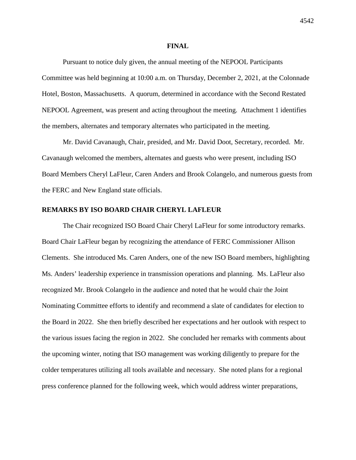#### **FINAL**

Pursuant to notice duly given, the annual meeting of the NEPOOL Participants Committee was held beginning at 10:00 a.m. on Thursday, December 2, 2021, at the Colonnade Hotel, Boston, Massachusetts. A quorum, determined in accordance with the Second Restated NEPOOL Agreement, was present and acting throughout the meeting. Attachment 1 identifies the members, alternates and temporary alternates who participated in the meeting.

Mr. David Cavanaugh, Chair, presided, and Mr. David Doot, Secretary, recorded. Mr. Cavanaugh welcomed the members, alternates and guests who were present, including ISO Board Members Cheryl LaFleur, Caren Anders and Brook Colangelo, and numerous guests from the FERC and New England state officials.

#### **REMARKS BY ISO BOARD CHAIR CHERYL LAFLEUR**

The Chair recognized ISO Board Chair Cheryl LaFleur for some introductory remarks. Board Chair LaFleur began by recognizing the attendance of FERC Commissioner Allison Clements. She introduced Ms. Caren Anders, one of the new ISO Board members, highlighting Ms. Anders' leadership experience in transmission operations and planning. Ms. LaFleur also recognized Mr. Brook Colangelo in the audience and noted that he would chair the Joint Nominating Committee efforts to identify and recommend a slate of candidates for election to the Board in 2022. She then briefly described her expectations and her outlook with respect to the various issues facing the region in 2022. She concluded her remarks with comments about the upcoming winter, noting that ISO management was working diligently to prepare for the colder temperatures utilizing all tools available and necessary. She noted plans for a regional press conference planned for the following week, which would address winter preparations,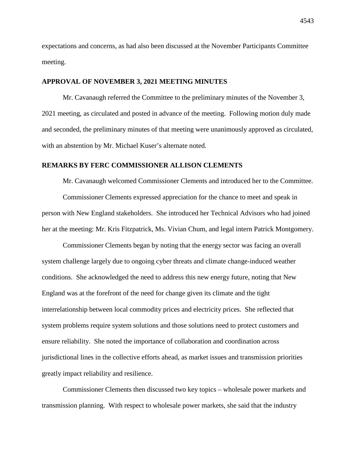expectations and concerns, as had also been discussed at the November Participants Committee meeting.

#### **APPROVAL OF NOVEMBER 3, 2021 MEETING MINUTES**

Mr. Cavanaugh referred the Committee to the preliminary minutes of the November 3, 2021 meeting, as circulated and posted in advance of the meeting. Following motion duly made and seconded, the preliminary minutes of that meeting were unanimously approved as circulated, with an abstention by Mr. Michael Kuser's alternate noted.

#### **REMARKS BY FERC COMMISSIONER ALLISON CLEMENTS**

Mr. Cavanaugh welcomed Commissioner Clements and introduced her to the Committee.

Commissioner Clements expressed appreciation for the chance to meet and speak in person with New England stakeholders. She introduced her Technical Advisors who had joined her at the meeting: Mr. Kris Fitzpatrick, Ms. Vivian Chum, and legal intern Patrick Montgomery.

Commissioner Clements began by noting that the energy sector was facing an overall system challenge largely due to ongoing cyber threats and climate change-induced weather conditions. She acknowledged the need to address this new energy future, noting that New England was at the forefront of the need for change given its climate and the tight interrelationship between local commodity prices and electricity prices. She reflected that system problems require system solutions and those solutions need to protect customers and ensure reliability. She noted the importance of collaboration and coordination across jurisdictional lines in the collective efforts ahead, as market issues and transmission priorities greatly impact reliability and resilience.

Commissioner Clements then discussed two key topics – wholesale power markets and transmission planning. With respect to wholesale power markets, she said that the industry

4543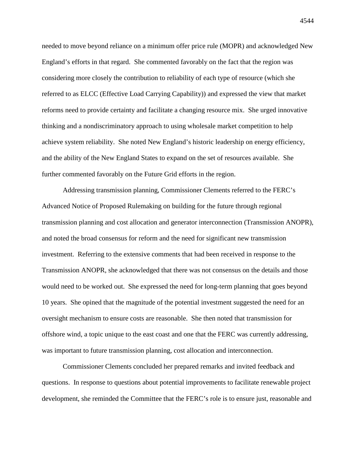needed to move beyond reliance on a minimum offer price rule (MOPR) and acknowledged New England's efforts in that regard. She commented favorably on the fact that the region was considering more closely the contribution to reliability of each type of resource (which she referred to as ELCC (Effective Load Carrying Capability)) and expressed the view that market reforms need to provide certainty and facilitate a changing resource mix. She urged innovative thinking and a nondiscriminatory approach to using wholesale market competition to help achieve system reliability. She noted New England's historic leadership on energy efficiency, and the ability of the New England States to expand on the set of resources available. She further commented favorably on the Future Grid efforts in the region.

Addressing transmission planning, Commissioner Clements referred to the FERC's Advanced Notice of Proposed Rulemaking on building for the future through regional transmission planning and cost allocation and generator interconnection (Transmission ANOPR), and noted the broad consensus for reform and the need for significant new transmission investment. Referring to the extensive comments that had been received in response to the Transmission ANOPR, she acknowledged that there was not consensus on the details and those would need to be worked out. She expressed the need for long-term planning that goes beyond 10 years. She opined that the magnitude of the potential investment suggested the need for an oversight mechanism to ensure costs are reasonable. She then noted that transmission for offshore wind, a topic unique to the east coast and one that the FERC was currently addressing, was important to future transmission planning, cost allocation and interconnection.

Commissioner Clements concluded her prepared remarks and invited feedback and questions. In response to questions about potential improvements to facilitate renewable project development, she reminded the Committee that the FERC's role is to ensure just, reasonable and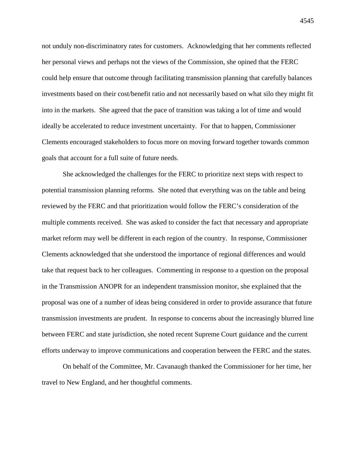not unduly non-discriminatory rates for customers. Acknowledging that her comments reflected her personal views and perhaps not the views of the Commission, she opined that the FERC could help ensure that outcome through facilitating transmission planning that carefully balances investments based on their cost/benefit ratio and not necessarily based on what silo they might fit into in the markets. She agreed that the pace of transition was taking a lot of time and would ideally be accelerated to reduce investment uncertainty. For that to happen, Commissioner Clements encouraged stakeholders to focus more on moving forward together towards common goals that account for a full suite of future needs.

She acknowledged the challenges for the FERC to prioritize next steps with respect to potential transmission planning reforms. She noted that everything was on the table and being reviewed by the FERC and that prioritization would follow the FERC's consideration of the multiple comments received. She was asked to consider the fact that necessary and appropriate market reform may well be different in each region of the country. In response, Commissioner Clements acknowledged that she understood the importance of regional differences and would take that request back to her colleagues. Commenting in response to a question on the proposal in the Transmission ANOPR for an independent transmission monitor, she explained that the proposal was one of a number of ideas being considered in order to provide assurance that future transmission investments are prudent. In response to concerns about the increasingly blurred line between FERC and state jurisdiction, she noted recent Supreme Court guidance and the current efforts underway to improve communications and cooperation between the FERC and the states.

On behalf of the Committee, Mr. Cavanaugh thanked the Commissioner for her time, her travel to New England, and her thoughtful comments.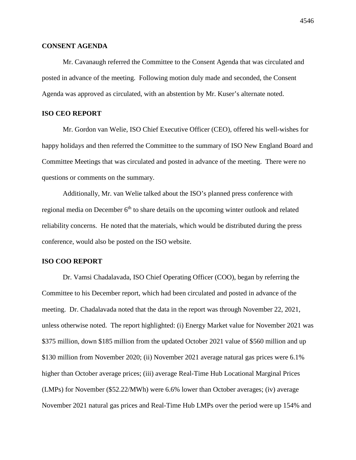# **CONSENT AGENDA**

Mr. Cavanaugh referred the Committee to the Consent Agenda that was circulated and posted in advance of the meeting. Following motion duly made and seconded, the Consent Agenda was approved as circulated, with an abstention by Mr. Kuser's alternate noted.

# **ISO CEO REPORT**

Mr. Gordon van Welie, ISO Chief Executive Officer (CEO), offered his well-wishes for happy holidays and then referred the Committee to the summary of ISO New England Board and Committee Meetings that was circulated and posted in advance of the meeting. There were no questions or comments on the summary.

Additionally, Mr. van Welie talked about the ISO's planned press conference with regional media on December 6<sup>th</sup> to share details on the upcoming winter outlook and related reliability concerns. He noted that the materials, which would be distributed during the press conference, would also be posted on the ISO website.

# **ISO COO REPORT**

Dr. Vamsi Chadalavada, ISO Chief Operating Officer (COO), began by referring the Committee to his December report, which had been circulated and posted in advance of the meeting. Dr. Chadalavada noted that the data in the report was through November 22, 2021, unless otherwise noted. The report highlighted: (i) Energy Market value for November 2021 was \$375 million, down \$185 million from the updated October 2021 value of \$560 million and up \$130 million from November 2020; (ii) November 2021 average natural gas prices were 6.1% higher than October average prices; (iii) average Real-Time Hub Locational Marginal Prices (LMPs) for November (\$52.22/MWh) were 6.6% lower than October averages; (iv) average November 2021 natural gas prices and Real-Time Hub LMPs over the period were up 154% and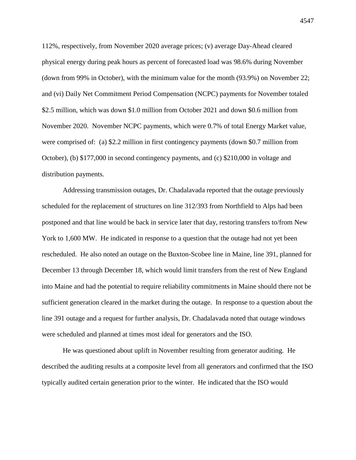112%, respectively, from November 2020 average prices; (v) average Day-Ahead cleared physical energy during peak hours as percent of forecasted load was 98.6% during November (down from 99% in October), with the minimum value for the month (93.9%) on November 22; and (vi) Daily Net Commitment Period Compensation (NCPC) payments for November totaled \$2.5 million, which was down \$1.0 million from October 2021 and down \$0.6 million from November 2020. November NCPC payments, which were 0.7% of total Energy Market value, were comprised of: (a) \$2.2 million in first contingency payments (down \$0.7 million from October), (b) \$177,000 in second contingency payments, and (c) \$210,000 in voltage and distribution payments.

Addressing transmission outages, Dr. Chadalavada reported that the outage previously scheduled for the replacement of structures on line 312/393 from Northfield to Alps had been postponed and that line would be back in service later that day, restoring transfers to/from New York to 1,600 MW. He indicated in response to a question that the outage had not yet been rescheduled. He also noted an outage on the Buxton-Scobee line in Maine, line 391, planned for December 13 through December 18, which would limit transfers from the rest of New England into Maine and had the potential to require reliability commitments in Maine should there not be sufficient generation cleared in the market during the outage. In response to a question about the line 391 outage and a request for further analysis, Dr. Chadalavada noted that outage windows were scheduled and planned at times most ideal for generators and the ISO.

He was questioned about uplift in November resulting from generator auditing. He described the auditing results at a composite level from all generators and confirmed that the ISO typically audited certain generation prior to the winter. He indicated that the ISO would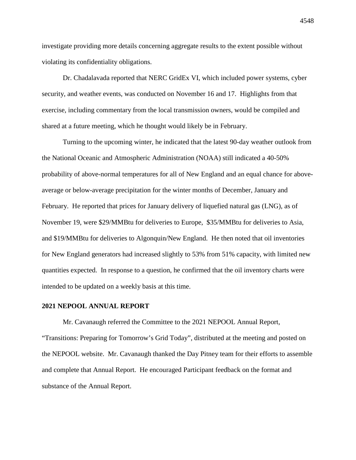investigate providing more details concerning aggregate results to the extent possible without violating its confidentiality obligations.

Dr. Chadalavada reported that NERC GridEx VI, which included power systems, cyber security, and weather events, was conducted on November 16 and 17. Highlights from that exercise, including commentary from the local transmission owners, would be compiled and shared at a future meeting, which he thought would likely be in February.

Turning to the upcoming winter, he indicated that the latest 90-day weather outlook from the National Oceanic and Atmospheric Administration (NOAA) still indicated a 40-50% probability of above-normal temperatures for all of New England and an equal chance for aboveaverage or below-average precipitation for the winter months of December, January and February. He reported that prices for January delivery of liquefied natural gas (LNG), as of November 19, were \$29/MMBtu for deliveries to Europe, \$35/MMBtu for deliveries to Asia, and \$19/MMBtu for deliveries to Algonquin/New England. He then noted that oil inventories for New England generators had increased slightly to 53% from 51% capacity, with limited new quantities expected. In response to a question, he confirmed that the oil inventory charts were intended to be updated on a weekly basis at this time.

#### **2021 NEPOOL ANNUAL REPORT**

Mr. Cavanaugh referred the Committee to the 2021 NEPOOL Annual Report, "Transitions: Preparing for Tomorrow's Grid Today", distributed at the meeting and posted on the NEPOOL website. Mr. Cavanaugh thanked the Day Pitney team for their efforts to assemble and complete that Annual Report. He encouraged Participant feedback on the format and substance of the Annual Report.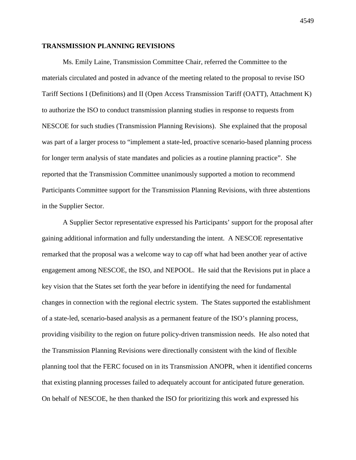#### **TRANSMISSION PLANNING REVISIONS**

Ms. Emily Laine, Transmission Committee Chair, referred the Committee to the materials circulated and posted in advance of the meeting related to the proposal to revise ISO Tariff Sections I (Definitions) and II (Open Access Transmission Tariff (OATT), Attachment K) to authorize the ISO to conduct transmission planning studies in response to requests from NESCOE for such studies (Transmission Planning Revisions). She explained that the proposal was part of a larger process to "implement a state-led, proactive scenario-based planning process for longer term analysis of state mandates and policies as a routine planning practice". She reported that the Transmission Committee unanimously supported a motion to recommend Participants Committee support for the Transmission Planning Revisions, with three abstentions in the Supplier Sector.

A Supplier Sector representative expressed his Participants' support for the proposal after gaining additional information and fully understanding the intent. A NESCOE representative remarked that the proposal was a welcome way to cap off what had been another year of active engagement among NESCOE, the ISO, and NEPOOL. He said that the Revisions put in place a key vision that the States set forth the year before in identifying the need for fundamental changes in connection with the regional electric system. The States supported the establishment of a state-led, scenario-based analysis as a permanent feature of the ISO's planning process, providing visibility to the region on future policy-driven transmission needs. He also noted that the Transmission Planning Revisions were directionally consistent with the kind of flexible planning tool that the FERC focused on in its Transmission ANOPR, when it identified concerns that existing planning processes failed to adequately account for anticipated future generation. On behalf of NESCOE, he then thanked the ISO for prioritizing this work and expressed his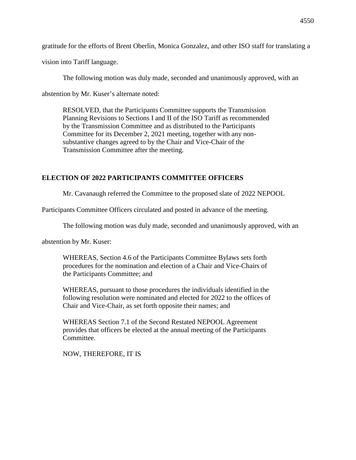gratitude for the efforts of Brent Oberlin, Monica Gonzalez, and other ISO staff for translating a

vision into Tariff language.

The following motion was duly made, seconded and unanimously approved, with an

abstention by Mr. Kuser's alternate noted:

RESOLVED, that the Participants Committee supports the Transmission Planning Revisions to Sections I and II of the ISO Tariff as recommended by the Transmission Committee and as distributed to the Participants Committee for its December 2, 2021 meeting, together with any nonsubstantive changes agreed to by the Chair and Vice-Chair of the Transmission Committee after the meeting.

# **ELECTION OF 2022 PARTICIPANTS COMMITTEE OFFICERS**

Mr. Cavanaugh referred the Committee to the proposed slate of 2022 NEPOOL

Participants Committee Officers circulated and posted in advance of the meeting.

The following motion was duly made, seconded and unanimously approved, with an

abstention by Mr. Kuser:

WHEREAS, Section 4.6 of the Participants Committee Bylaws sets forth procedures for the nomination and election of a Chair and Vice-Chairs of the Participants Committee; and

WHEREAS, pursuant to those procedures the individuals identified in the following resolution were nominated and elected for 2022 to the offices of Chair and Vice-Chair, as set forth opposite their names; and

WHEREAS Section 7.1 of the Second Restated NEPOOL Agreement provides that officers be elected at the annual meeting of the Participants Committee.

NOW, THEREFORE, IT IS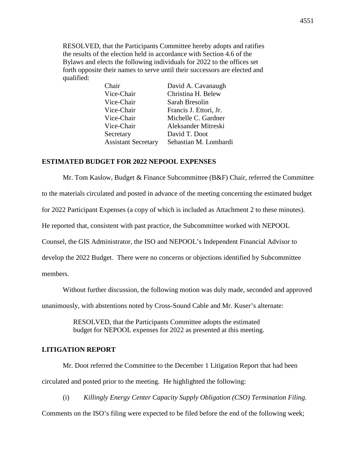RESOLVED, that the Participants Committee hereby adopts and ratifies the results of the election held in accordance with Section 4.6 of the Bylaws and elects the following individuals for 2022 to the offices set forth opposite their names to serve until their successors are elected and qualified:

| Chair                      | David A. Cavanaugh     |
|----------------------------|------------------------|
| Vice-Chair                 | Christina H. Belew     |
| Vice-Chair                 | Sarah Bresolin         |
| Vice-Chair                 | Francis J. Ettori, Jr. |
| Vice-Chair                 | Michelle C. Gardner    |
| Vice-Chair                 | Aleksander Mitreski    |
| Secretary                  | David T. Doot          |
| <b>Assistant Secretary</b> | Sebastian M. Lombardi  |

#### **ESTIMATED BUDGET FOR 2022 NEPOOL EXPENSES**

Mr. Tom Kaslow, Budget & Finance Subcommittee (B&F) Chair, referred the Committee to the materials circulated and posted in advance of the meeting concerning the estimated budget for 2022 Participant Expenses (a copy of which is included as Attachment 2 to these minutes). He reported that, consistent with past practice, the Subcommittee worked with NEPOOL Counsel, the GIS Administrator, the ISO and NEPOOL's Independent Financial Advisor to develop the 2022 Budget. There were no concerns or objections identified by Subcommittee members.

Without further discussion, the following motion was duly made, seconded and approved

unanimously, with abstentions noted by Cross-Sound Cable and Mr. Kuser's alternate:

RESOLVED, that the Participants Committee adopts the estimated budget for NEPOOL expenses for 2022 as presented at this meeting.

# **LITIGATION REPORT**

Mr. Doot referred the Committee to the December 1 Litigation Report that had been circulated and posted prior to the meeting. He highlighted the following:

(i) *Killingly Energy Center Capacity Supply Obligation (CSO) Termination Filing*. Comments on the ISO's filing were expected to be filed before the end of the following week;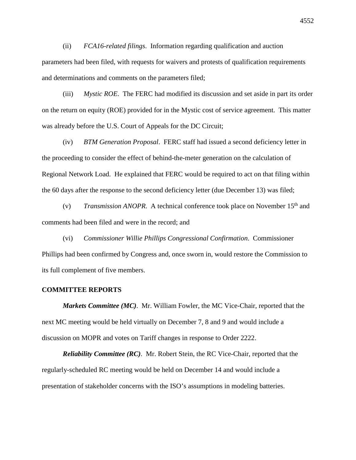(ii) *FCA16-related filings*. Information regarding qualification and auction parameters had been filed, with requests for waivers and protests of qualification requirements and determinations and comments on the parameters filed;

(iii) *Mystic ROE*. The FERC had modified its discussion and set aside in part its order on the return on equity (ROE) provided for in the Mystic cost of service agreement. This matter was already before the U.S. Court of Appeals for the DC Circuit;

(iv) *BTM Generation Proposal*. FERC staff had issued a second deficiency letter in the proceeding to consider the effect of behind-the-meter generation on the calculation of Regional Network Load. He explained that FERC would be required to act on that filing within the 60 days after the response to the second deficiency letter (due December 13) was filed;

(v) *Transmission ANOPR*. A technical conference took place on November 15<sup>th</sup> and comments had been filed and were in the record; and

(vi) *Commissioner Willie Phillips Congressional Confirmation*. Commissioner Phillips had been confirmed by Congress and, once sworn in, would restore the Commission to its full complement of five members.

#### **COMMITTEE REPORTS**

*Markets Committee (MC)*. Mr. William Fowler, the MC Vice-Chair, reported that the next MC meeting would be held virtually on December 7, 8 and 9 and would include a discussion on MOPR and votes on Tariff changes in response to Order 2222.

*Reliability Committee (RC)*. Mr. Robert Stein, the RC Vice-Chair, reported that the regularly-scheduled RC meeting would be held on December 14 and would include a presentation of stakeholder concerns with the ISO's assumptions in modeling batteries.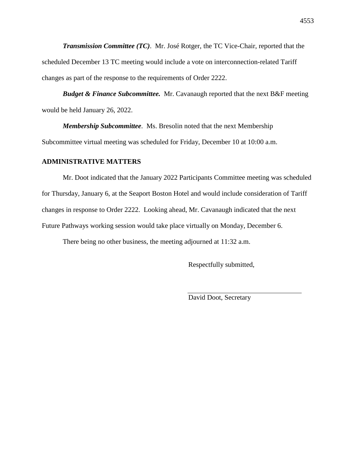*Transmission Committee (TC)*. Mr. José Rotger, the TC Vice-Chair, reported that the scheduled December 13 TC meeting would include a vote on interconnection-related Tariff changes as part of the response to the requirements of Order 2222.

*Budget & Finance Subcommittee.* Mr. Cavanaugh reported that the next B&F meeting would be held January 26, 2022.

*Membership Subcommittee*. Ms. Bresolin noted that the next Membership Subcommittee virtual meeting was scheduled for Friday, December 10 at 10:00 a.m.

#### **ADMINISTRATIVE MATTERS**

Mr. Doot indicated that the January 2022 Participants Committee meeting was scheduled for Thursday, January 6, at the Seaport Boston Hotel and would include consideration of Tariff changes in response to Order 2222. Looking ahead, Mr. Cavanaugh indicated that the next Future Pathways working session would take place virtually on Monday, December 6.

There being no other business, the meeting adjourned at 11:32 a.m.

Respectfully submitted,

David Doot, Secretary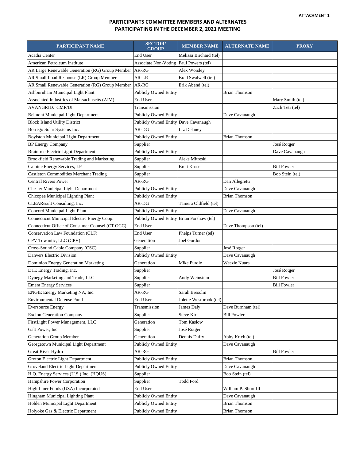#### **PARTICIPANTS COMMITTEE MEMBERS AND ALTERNATES PARTICIPATING IN THE DECEMBER 2, 2021 MEETING**

| PARTICIPANT NAME                                | <b>SECTOR</b> /<br><b>GROUP</b>           | <b>MEMBER NAME</b>      | <b>ALTERNATE NAME</b> | <b>PROXY</b>       |
|-------------------------------------------------|-------------------------------------------|-------------------------|-----------------------|--------------------|
| Acadia Center                                   | End User                                  | Melissa Birchard (tel)  |                       |                    |
| American Petroleum Institute                    | <b>Associate Non-Voting</b>               | Paul Powers (tel)       |                       |                    |
| AR Large Renewable Generation (RG) Group Member | AR-RG                                     | Alex Worsley            |                       |                    |
| AR Small Load Response (LR) Group Member        | AR-LR                                     | Brad Swalwell (tel)     |                       |                    |
| AR Small Renewable Generation (RG) Group Member | AR-RG                                     | Erik Abend (tel)        |                       |                    |
| Ashburnham Municipal Light Plant                | <b>Publicly Owned Entity</b>              |                         | <b>Brian Thomson</b>  |                    |
| Associated Industries of Massachusetts (AIM)    | End User                                  |                         |                       | Mary Smith (tel)   |
| AVANGRID: CMP/UI                                | Transmission                              |                         |                       | Zach Teti (tel)    |
| <b>Belmont Municipal Light Department</b>       | Publicly Owned Entity                     |                         | Dave Cavanaugh        |                    |
| <b>Block Island Utility District</b>            | <b>Publicly Owned Entity</b>              | Dave Cavanaugh          |                       |                    |
| Borrego Solar Systems Inc.                      | AR-DG                                     | Liz Delaney             |                       |                    |
| <b>Boylston Municipal Light Department</b>      | Publicly Owned Entity                     |                         | <b>Brian Thomson</b>  |                    |
| <b>BP</b> Energy Company                        | Supplier                                  |                         |                       | José Rotger        |
| <b>Braintree Electric Light Department</b>      | <b>Publicly Owned Entity</b>              |                         |                       | Dave Cavanaugh     |
| Brookfield Renewable Trading and Marketing      | Supplier                                  | Aleks Mitreski          |                       |                    |
| Calpine Energy Services, LP                     | Supplier                                  | <b>Brett Kruse</b>      |                       | <b>Bill Fowler</b> |
| Castleton Commodities Merchant Trading          | Supplier                                  |                         |                       | Bob Stein (tel)    |
| <b>Central Rivers Power</b>                     | AR-RG                                     |                         | Dan Allegretti        |                    |
| <b>Chester Municipal Light Department</b>       | <b>Publicly Owned Entity</b>              |                         | Dave Cavanaugh        |                    |
| Chicopee Municipal Lighting Plant               | Publicly Owned Entity                     |                         | <b>Brian Thomson</b>  |                    |
| CLEAResult Consulting, Inc.                     | AR-DG                                     | Tamera Oldfield (tel)   |                       |                    |
| Concord Municipal Light Plant                   | Publicly Owned Entity                     |                         | Dave Cavanaugh        |                    |
| Connecticut Municipal Electric Energy Coop.     | Publicly Owned Entity Brian Forshaw (tel) |                         |                       |                    |
| Connecticut Office of Consumer Counsel (CT OCC) | End User                                  |                         | Dave Thompson (tel)   |                    |
| Conservation Law Foundation (CLF)               | End User                                  | Phelps Turner (tel)     |                       |                    |
| CPV Towantic, LLC (CPV)                         | Generation                                | <b>Joel Gordon</b>      |                       |                    |
| Cross-Sound Cable Company (CSC)                 | Supplier                                  |                         | José Rotger           |                    |
| Danvers Electric Division                       | Publicly Owned Entity                     |                         | Dave Cavanaugh        |                    |
| Dominion Energy Generation Marketing            | Generation                                | Mike Purdie             | Weezie Nuara          |                    |
| DTE Energy Trading, Inc.                        | Supplier                                  |                         |                       | José Rotger        |
| Dynegy Marketing and Trade, LLC                 | Supplier                                  | Andy Weinstein          |                       | <b>Bill Fowler</b> |
| <b>Emera Energy Services</b>                    | Supplier                                  |                         |                       | <b>Bill Fowler</b> |
| ENGIE Energy Marketing NA, Inc.                 | AR-RG                                     | Sarah Bresolin          |                       |                    |
| <b>Environmental Defense Fund</b>               | End User                                  | Jolette Westbrook (tel) |                       |                    |
| <b>Eversource Energy</b>                        | Transmission                              | James Daly              | Dave Burnham (tel)    |                    |
| <b>Exelon Generation Company</b>                | Supplier                                  | <b>Steve Kirk</b>       | <b>Bill Fowler</b>    |                    |
| FirstLight Power Management, LLC                | Generation                                | Tom Kaslow              |                       |                    |
| Galt Power, Inc.                                | Supplier                                  | José Rotger             |                       |                    |
| Generation Group Member                         | Generation                                | Dennis Duffy            | Abby Krich (tel)      |                    |
| Georgetown Municipal Light Department           | <b>Publicly Owned Entity</b>              |                         | Dave Cavanaugh        |                    |
| Great River Hydro                               | AR-RG                                     |                         |                       | <b>Bill Fowler</b> |
| Groton Electric Light Department                | Publicly Owned Entity                     |                         | <b>Brian Thomson</b>  |                    |
| Groveland Electric Light Department             | <b>Publicly Owned Entity</b>              |                         | Dave Cavanaugh        |                    |
| H.Q. Energy Services (U.S.) Inc. (HQUS)         | Supplier                                  |                         | Bob Stein (tel)       |                    |
| Hampshire Power Corporation                     | Supplier                                  | Todd Ford               |                       |                    |
| High Liner Foods (USA) Incorporated             | End User                                  |                         | William P. Short III  |                    |
| Hingham Municipal Lighting Plant                | Publicly Owned Entity                     |                         | Dave Cavanaugh        |                    |
| Holden Municipal Light Department               | <b>Publicly Owned Entity</b>              |                         | <b>Brian Thomson</b>  |                    |
| Holyoke Gas & Electric Department               | <b>Publicly Owned Entity</b>              |                         | <b>Brian Thomson</b>  |                    |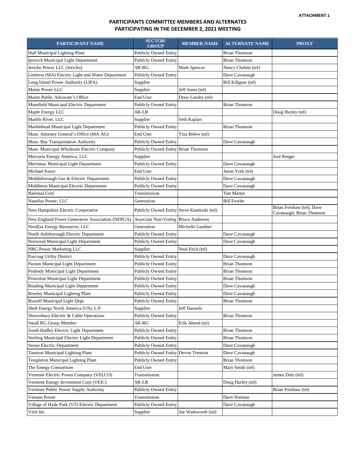#### **PARTICIPANTS COMMITTEE MEMBERS AND ALTERNATES PARTICIPATING IN THE DECEMBER 2, 2021 MEETING**

| PARTICIPANT NAME                                   | <b>SECTOR</b> /<br><b>GROUP</b>            | <b>MEMBER NAME</b>    | <b>ALTERNATE NAME</b> | <b>PROXY</b>                                          |
|----------------------------------------------------|--------------------------------------------|-----------------------|-----------------------|-------------------------------------------------------|
| Hull Municipal Lighting Plant                      | <b>Publicly Owned Entity</b>               |                       | Brian Thomson         |                                                       |
| Ipswich Municipal Light Department                 | <b>Publicly Owned Entity</b>               |                       | Brian Thomson         |                                                       |
| Jericho Power LLC (Jericho)                        | AR-RG                                      | Mark Spencer          | Nancy Chafetz (tel)   |                                                       |
| Littleton (MA) Electric Light and Water Department | Publicly Owned Entity                      |                       | Dave Cavanaugh        |                                                       |
| Long Island Power Authority (LIPA)                 | Supplier                                   |                       | Bill Killgoar (tel)   |                                                       |
| Maine Power LLC                                    | Supplier                                   | Jeff Jones (tel)      |                       |                                                       |
| Maine Public Advocate's Office                     | End User                                   | Drew Landry (tel)     |                       |                                                       |
| Mansfield Municipal Electric Department            | Publicly Owned Entity                      |                       | <b>Brian Thomson</b>  |                                                       |
| Maple Energy LLC                                   | AR-LR                                      |                       |                       | Doug Hurley (tel)                                     |
| Marble River, LLC                                  | Supplier                                   | Seth Kaplan           |                       |                                                       |
| Marblehead Municipal Light Department              | <b>Publicly Owned Entity</b>               |                       | <b>Brian Thomson</b>  |                                                       |
| Mass. Attorney General's Office (MA AG)            | End User                                   | Tina Belew (tel)      |                       |                                                       |
| Mass. Bay Transportation Authority                 | Publicly Owned Entity                      |                       | Dave Cavanaugh        |                                                       |
| Mass. Municipal Wholesale Electric Company         | <b>Publicly Owned Entity</b>               | <b>Brian Thomson</b>  |                       |                                                       |
| Mercuria Energy America, LLC                       | Supplier                                   |                       |                       | José Rotger                                           |
| Merrimac Municipal Light Department                | <b>Publicly Owned Entity</b>               |                       | Dave Cavanaugh        |                                                       |
| Michael Kuser                                      | End User                                   |                       | Jason York (tel)      |                                                       |
| Middleborough Gas & Electric Department            | Publicly Owned Entity                      |                       | Dave Cavanaugh        |                                                       |
| Middleton Municipal Electric Department            | <b>Publicly Owned Entity</b>               |                       | Dave Cavanaugh        |                                                       |
| National Grid                                      | Transmission                               |                       | Tim Martin            |                                                       |
| Nautilus Power, LLC                                | Generation                                 |                       | <b>Bill Fowler</b>    |                                                       |
| New Hampshire Electric Cooperative                 | Publicly Owned Entity Steve Kaminski (tel) |                       |                       | Brian Forshaw (tel); Dave<br>Cavanaugh; Brian Thomson |
| New England Power Generators Association (NEPGA)   | <b>Associate Non-Voting</b>                | <b>Bruce Anderson</b> |                       |                                                       |
| NextEra Energy Resources, LLC                      | Generation                                 | Michelle Gardner      |                       |                                                       |
| North Attleborough Electric Department             | <b>Publicly Owned Entity</b>               |                       | Dave Cavanaugh        |                                                       |
| Norwood Municipal Light Department                 | Publicly Owned Entity                      |                       | Dave Cavanaugh        |                                                       |
| NRG Power Marketing LLC                            | Supplier                                   | Neal Fitch (tel)      |                       |                                                       |
| Pascoag Utility District                           | <b>Publicly Owned Entity</b>               |                       | Dave Cavanaugh        |                                                       |
| Paxton Municipal Light Department                  | <b>Publicly Owned Entity</b>               |                       | <b>Brian Thomson</b>  |                                                       |
| Peabody Municipal Light Department                 | <b>Publicly Owned Entity</b>               |                       | <b>Brian Thomson</b>  |                                                       |
| Princeton Municipal Light Department               | <b>Publicly Owned Entity</b>               |                       | <b>Brian Thomson</b>  |                                                       |
| Reading Municipal Light Department                 | <b>Publicly Owned Entity</b>               |                       | Dave Cavanaugh        |                                                       |
| Rowley Municipal Lighting Plant                    | <b>Publicly Owned Entity</b>               |                       | Dave Cavanaugh        |                                                       |
| Russell Municipal Light Dept.                      | <b>Publicly Owned Entity</b>               |                       | <b>Brian Thomson</b>  |                                                       |
| Shell Energy North America (US), L.P.              | Supplier                                   | Jeff Dannels          |                       |                                                       |
| Shrewsbury Electric & Cable Operations             | <b>Publicly Owned Entity</b>               |                       | Brian Thomson         |                                                       |
| Small RG Group Member                              | AR-RG                                      | Erik Abend (tel)      |                       |                                                       |
| South Hadley Electric Light Department             | <b>Publicly Owned Entity</b>               |                       | Brian Thomson         |                                                       |
| Sterling Municipal Electric Light Department       | <b>Publicly Owned Entity</b>               |                       | <b>Brian Thomson</b>  |                                                       |
| <b>Stowe Electric Department</b>                   | <b>Publicly Owned Entity</b>               |                       | Dave Cavanaugh        |                                                       |
| Taunton Municipal Lighting Plant                   | Publicly Owned Entity Devon Tremont        |                       | Dave Cavanaugh        |                                                       |
| Templeton Municipal Lighting Plant                 | <b>Publicly Owned Entity</b>               |                       | <b>Brian Thomson</b>  |                                                       |
| The Energy Consortium                              | End User                                   |                       | Mary Smith (tel)      |                                                       |
| Vermont Electric Power Company (VELCO)             | Transmission                               |                       |                       | James Daly (tel)                                      |
| Vermont Energy Investment Corp (VEIC)              | AR-LR                                      |                       | Doug Hurley (tel)     |                                                       |
| Vermont Public Power Supply Authority              | <b>Publicly Owned Entity</b>               |                       |                       | Brian Forshaw (tel)                                   |
| Versant Power                                      | Transmission                               |                       | Dave Norman           |                                                       |
| Village of Hyde Park (VT) Electric Department      | <b>Publicly Owned Entity</b>               |                       | Dave Cavanaugh        |                                                       |
| Vitol Inc.                                         | Supplier                                   | Joe Wadsworth (tel)   |                       |                                                       |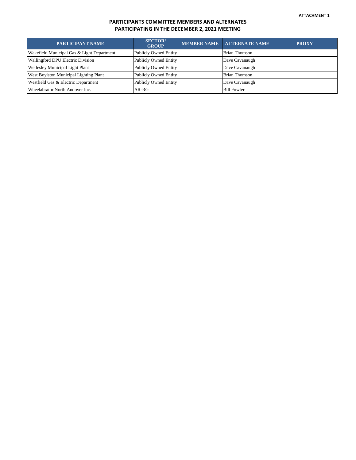#### **PARTICIPANTS COMMITTEE MEMBERS AND ALTERNATES PARTICIPATING IN THE DECEMBER 2, 2021 MEETING**

| <b>PARTICIPANT NAME</b>                    | <b>SECTOR</b><br><b>GROUP</b> | MEMBER NAME   ALTERNATE NAME | <b>PROXY</b> |
|--------------------------------------------|-------------------------------|------------------------------|--------------|
| Wakefield Municipal Gas & Light Department | <b>Publicly Owned Entity</b>  | <b>Brian Thomson</b>         |              |
| Wallingford DPU Electric Division          | Publicly Owned Entity         | Dave Cavanaugh               |              |
| <b>Wellesley Municipal Light Plant</b>     | Publicly Owned Entity         | Dave Cavanaugh               |              |
| West Boylston Municipal Lighting Plant     | <b>Publicly Owned Entity</b>  | <b>Brian Thomson</b>         |              |
| Westfield Gas & Electric Department        | <b>Publicly Owned Entity</b>  | Dave Cavanaugh               |              |
| Wheelabrator North Andover Inc.            | AR-RG                         | <b>Bill Fowler</b>           |              |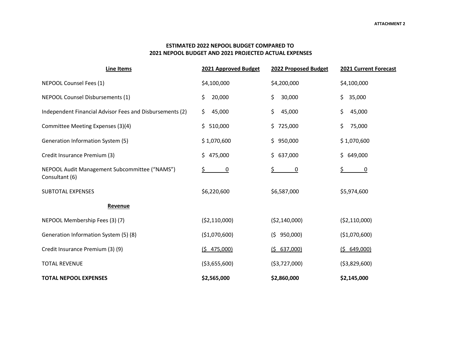#### **ESTIMATED 2022 NEPOOL BUDGET COMPARED TO 2021 NEPOOL BUDGET AND 2021 PROJECTED ACTUAL EXPENSES**

| <b>Line Items</b>                                               | 2021 Approved Budget | 2022 Proposed Budget | 2021 Current Forecast |
|-----------------------------------------------------------------|----------------------|----------------------|-----------------------|
| NEPOOL Counsel Fees (1)                                         | \$4,100,000          | \$4,200,000          | \$4,100,000           |
| <b>NEPOOL Counsel Disbursements (1)</b>                         | \$<br>20,000         | \$.<br>30,000        | \$<br>35,000          |
| Independent Financial Advisor Fees and Disbursements (2)        | \$.<br>45,000        | \$.<br>45,000        | \$<br>45,000          |
| Committee Meeting Expenses (3)(4)                               | \$.<br>510,000       | 725,000<br>\$.       | \$<br>75,000          |
| Generation Information System (5)                               | \$1,070,600          | \$.<br>950,000       | \$1,070,600           |
| Credit Insurance Premium (3)                                    | \$475,000            | \$.<br>637,000       | \$<br>649,000         |
| NEPOOL Audit Management Subcommittee ("NAMS")<br>Consultant (6) | \$<br>$\overline{0}$ | \$<br>$\overline{0}$ | \$<br>$\overline{0}$  |
| <b>SUBTOTAL EXPENSES</b>                                        | \$6,220,600          | \$6,587,000          | \$5,974,600           |
| Revenue                                                         |                      |                      |                       |
| NEPOOL Membership Fees (3)(7)                                   | ( \$2,110,000)       | ( \$2,140,000)       | ( \$2,110,000)        |
| Generation Information System (5) (8)                           | (\$1,070,600)        | (5 950,000)          | ( \$1,070,600)        |
| Credit Insurance Premium (3) (9)                                | (5 475,000)          | (5 637,000)          | (5, 649, 000)         |
| <b>TOTAL REVENUE</b>                                            | ( \$3,655,600)       | ( \$3,727,000)       | ( \$3,829,600)        |
| <b>TOTAL NEPOOL EXPENSES</b>                                    | \$2,565,000          | \$2,860,000          | \$2,145,000           |